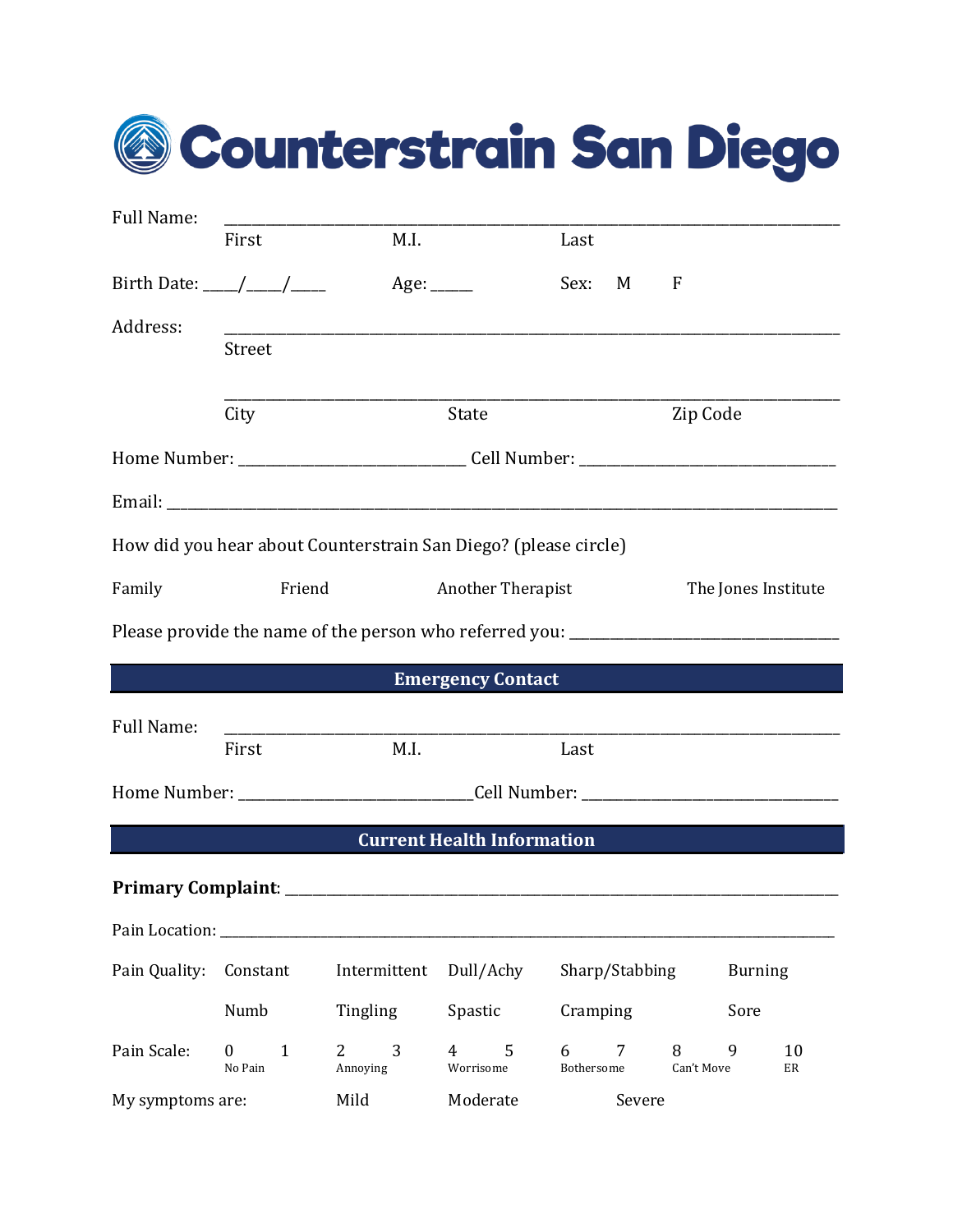|  | @ Counterstrain San Diego |  |  |
|--|---------------------------|--|--|
|--|---------------------------|--|--|

| Full Name:                                                      | First                                                                               | M.I.                                                                              |                                   | Last            |                |                 |                     |  |
|-----------------------------------------------------------------|-------------------------------------------------------------------------------------|-----------------------------------------------------------------------------------|-----------------------------------|-----------------|----------------|-----------------|---------------------|--|
|                                                                 | Birth Date: ____/____/_____                                                         | Age: $\_\_\_\_\_\_\_\_\$                                                          |                                   | Sex:            | M              | $\mathbf F$     |                     |  |
| Address:                                                        | <b>Street</b>                                                                       |                                                                                   |                                   |                 |                |                 |                     |  |
|                                                                 | City                                                                                |                                                                                   | State                             |                 |                | Zip Code        |                     |  |
|                                                                 |                                                                                     |                                                                                   |                                   |                 |                |                 |                     |  |
|                                                                 |                                                                                     |                                                                                   |                                   |                 |                |                 |                     |  |
| How did you hear about Counterstrain San Diego? (please circle) |                                                                                     |                                                                                   |                                   |                 |                |                 |                     |  |
| Family                                                          | Friend                                                                              |                                                                                   | Another Therapist                 |                 |                |                 | The Jones Institute |  |
|                                                                 |                                                                                     | Please provide the name of the person who referred you: _________________________ |                                   |                 |                |                 |                     |  |
|                                                                 |                                                                                     |                                                                                   | <b>Emergency Contact</b>          |                 |                |                 |                     |  |
| <b>Full Name:</b>                                               | the control of the control of the control of the control of the control of<br>First | M.I.                                                                              |                                   | Last            |                |                 |                     |  |
|                                                                 |                                                                                     |                                                                                   |                                   |                 |                |                 |                     |  |
|                                                                 |                                                                                     |                                                                                   | <b>Current Health Information</b> |                 |                |                 |                     |  |
|                                                                 |                                                                                     |                                                                                   |                                   |                 |                |                 |                     |  |
| Pain Location: ________                                         |                                                                                     |                                                                                   |                                   |                 |                |                 |                     |  |
| Pain Quality:                                                   | Constant                                                                            | Intermittent                                                                      | Dull/Achy                         |                 | Sharp/Stabbing |                 | <b>Burning</b>      |  |
|                                                                 | Numb                                                                                | Tingling                                                                          | Spastic                           | Cramping        |                |                 | Sore                |  |
| Pain Scale:                                                     | 1<br>$\overline{0}$<br>No Pain                                                      | 3<br>$2^{\circ}$<br>Annoying                                                      | 5<br>4<br>Worrisome               | 6<br>Bothersome | 7              | 8<br>Can't Move | 10<br>9<br>ER       |  |
|                                                                 |                                                                                     |                                                                                   |                                   |                 |                |                 |                     |  |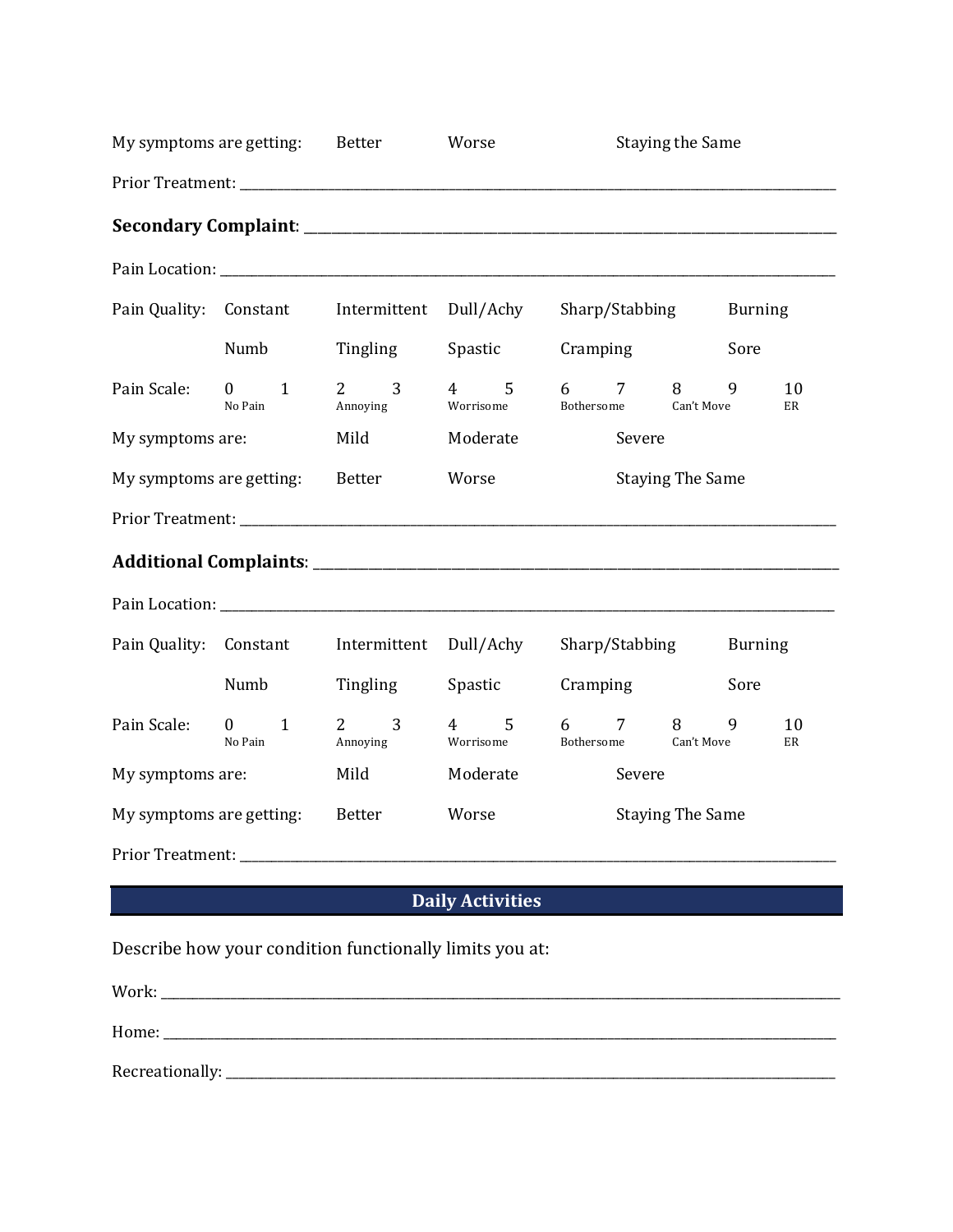|                          | My symptoms are getting: Better           |                                                                                                               | Worse                            | <b>Staying the Same</b>                            |                |
|--------------------------|-------------------------------------------|---------------------------------------------------------------------------------------------------------------|----------------------------------|----------------------------------------------------|----------------|
|                          |                                           |                                                                                                               |                                  |                                                    |                |
|                          |                                           |                                                                                                               |                                  |                                                    |                |
|                          |                                           |                                                                                                               |                                  |                                                    |                |
|                          | Pain Quality: Constant                    | Intermittent Dull/Achy                                                                                        |                                  | Sharp/Stabbing                                     | <b>Burning</b> |
|                          | Numb                                      | Tingling                                                                                                      | Spastic                          | Cramping                                           | Sore           |
| Pain Scale:              | $\mathbf{1}$<br>$\overline{0}$<br>No Pain | 3<br>$2 \left( \frac{1}{2} \right)$<br>Annoying                                                               | 5<br>$\overline{4}$<br>Worrisome | 7<br>8<br>6<br>Bothersome Can't Move               | 9<br>10<br>ER  |
| My symptoms are:         |                                           | Mild                                                                                                          | Moderate                         | Severe                                             |                |
| My symptoms are getting: |                                           | Better                                                                                                        | Worse                            | <b>Staying The Same</b>                            |                |
|                          |                                           |                                                                                                               |                                  |                                                    |                |
|                          |                                           |                                                                                                               |                                  |                                                    |                |
|                          |                                           |                                                                                                               |                                  |                                                    |                |
|                          |                                           | Pain Quality: Constant Intermittent Dull/Achy                                                                 |                                  | Sharp/Stabbing                                     | <b>Burning</b> |
|                          | Numb                                      | Tingling                                                                                                      | Spastic                          | Cramping                                           | Sore           |
| Pain Scale:              | $\mathbf{1}$<br>$\overline{0}$<br>No Pain | $\overline{3}$<br>$2 \left( \frac{1}{2} \right)$<br>Annoying                                                  | 4 5<br>Worrisome                 | $7\overline{ }$<br>8<br>6<br>Bothersome Can't Move | 9<br>10<br>ER  |
| My symptoms are:         |                                           | Mild                                                                                                          | Moderate                         | Severe                                             |                |
| My symptoms are getting: |                                           | Better                                                                                                        | Worse                            | <b>Staying The Same</b>                            |                |
|                          |                                           | Prior Treatment: New York Street and Street and Street and Street and Street and Street and Street and Street |                                  |                                                    |                |
|                          |                                           |                                                                                                               | <b>Daily Activities</b>          |                                                    |                |
|                          | Work:                                     | Describe how your condition functionally limits you at:                                                       |                                  |                                                    |                |

Home: \_\_\_\_\_\_\_\_\_\_\_\_\_\_\_\_\_\_\_\_\_\_\_\_\_\_\_\_\_\_\_\_\_\_\_\_\_\_\_\_\_\_\_\_\_\_\_\_\_\_\_\_\_\_\_\_\_\_\_\_\_\_\_\_\_\_\_\_\_\_\_\_\_\_\_\_\_\_\_\_\_\_\_\_\_\_\_\_\_\_\_\_\_\_\_\_\_\_\_\_\_\_\_\_\_\_

Recreationally: \_\_\_\_\_\_\_\_\_\_\_\_\_\_\_\_\_\_\_\_\_\_\_\_\_\_\_\_\_\_\_\_\_\_\_\_\_\_\_\_\_\_\_\_\_\_\_\_\_\_\_\_\_\_\_\_\_\_\_\_\_\_\_\_\_\_\_\_\_\_\_\_\_\_\_\_\_\_\_\_\_\_\_\_\_\_\_\_\_\_\_\_\_\_\_\_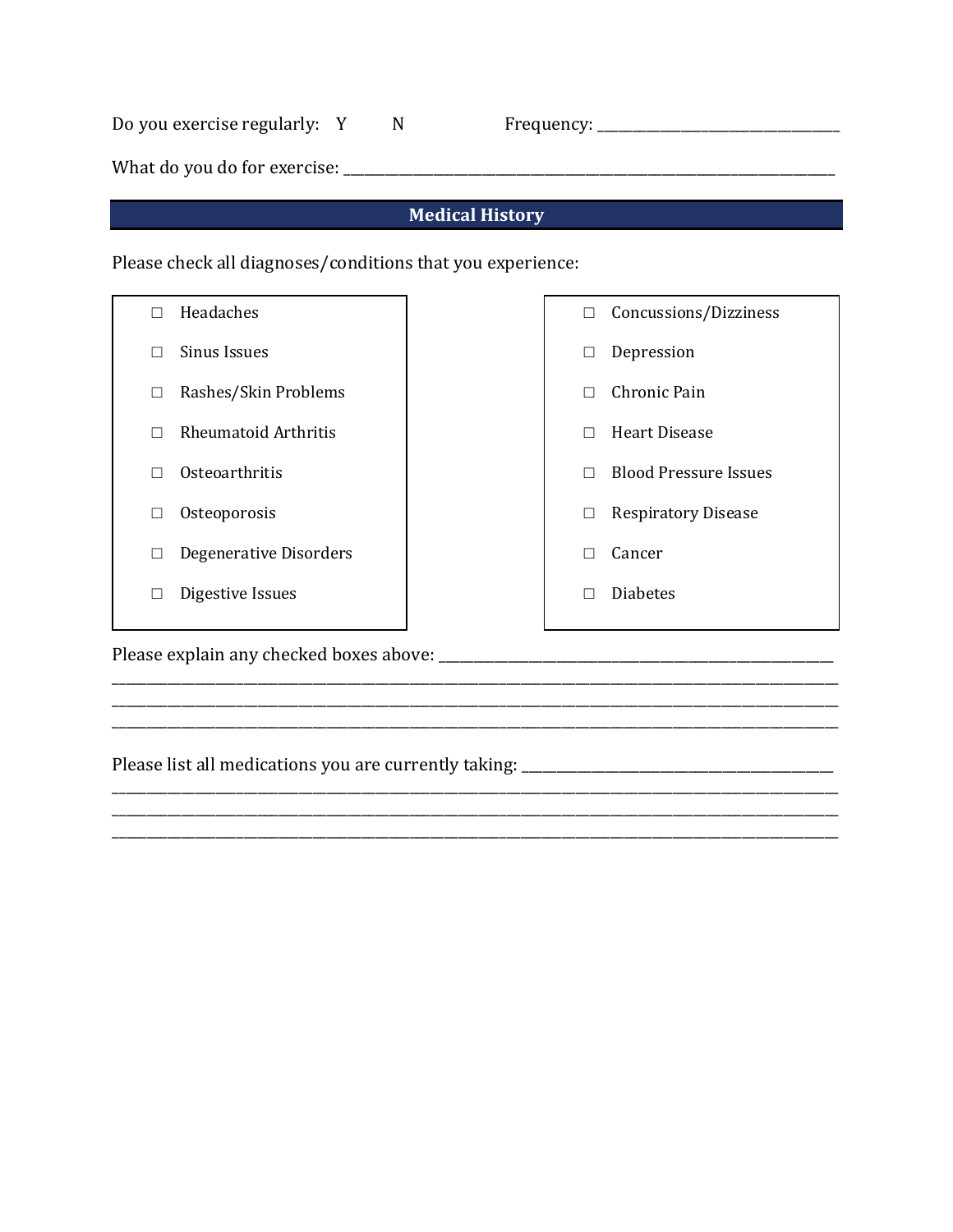| Do you exercise regularly: Y |  |
|------------------------------|--|
|------------------------------|--|

Do you exercise regularly: Y N Frequency: \_\_\_\_\_\_\_\_\_\_\_\_\_\_\_\_\_\_\_\_\_\_\_\_\_\_\_\_\_\_\_\_\_\_\_

What do you do for exercise: \_\_\_\_\_\_\_\_\_\_\_\_\_\_\_\_\_\_\_\_\_\_\_\_\_\_\_\_\_\_\_\_\_\_\_\_\_\_\_\_\_\_\_\_\_\_\_\_\_\_\_\_\_\_\_\_\_\_\_\_\_\_\_\_\_\_\_\_\_\_\_

## **Medical History**

Please check all diagnoses/conditions that you experience:

| Headaches<br>П                   | Concussions/Dizziness<br>$\Box$   |
|----------------------------------|-----------------------------------|
| <b>Sinus Issues</b><br>П         | Depression<br>⊔                   |
| Rashes/Skin Problems<br>□        | Chronic Pain                      |
| <b>Rheumatoid Arthritis</b><br>П | Heart Disease<br>П                |
| Osteoarthritis<br>П              | <b>Blood Pressure Issues</b><br>П |
| Osteoporosis<br>□                | <b>Respiratory Disease</b><br>□   |
| Degenerative Disorders<br>□      | Cancer<br>×                       |
| Digestive Issues<br>□            | <b>Diabetes</b>                   |
|                                  |                                   |

\_\_\_\_\_\_\_\_\_\_\_\_\_\_\_\_\_\_\_\_\_\_\_\_\_\_\_\_\_\_\_\_\_\_\_\_\_\_\_\_\_\_\_\_\_\_\_\_\_\_\_\_\_\_\_\_\_\_\_\_\_\_\_\_\_\_\_\_\_\_\_\_\_\_\_\_\_\_\_\_\_\_\_\_\_\_\_\_\_\_\_\_\_\_\_\_\_\_\_\_\_\_\_\_\_

\_\_\_\_\_\_\_\_\_\_\_\_\_\_\_\_\_\_\_\_\_\_\_\_\_\_\_\_\_\_\_\_\_\_\_\_\_\_\_\_\_\_\_\_\_\_\_\_\_\_\_\_\_\_\_\_\_\_\_\_\_\_\_\_\_\_\_\_\_\_\_\_\_\_\_\_\_\_\_\_\_\_\_\_\_\_\_\_\_\_\_\_\_\_\_\_\_\_\_\_\_\_\_\_\_ \_\_\_\_\_\_\_\_\_\_\_\_\_\_\_\_\_\_\_\_\_\_\_\_\_\_\_\_\_\_\_\_\_\_\_\_\_\_\_\_\_\_\_\_\_\_\_\_\_\_\_\_\_\_\_\_\_\_\_\_\_\_\_\_\_\_\_\_\_\_\_\_\_\_\_\_\_\_\_\_\_\_\_\_\_\_\_\_\_\_\_\_\_\_\_\_\_\_\_\_\_\_\_\_\_

Please explain any checked boxes above: \_\_\_\_\_\_\_\_\_\_\_\_\_\_\_\_\_\_\_\_\_\_\_\_\_\_\_\_\_\_\_\_\_\_\_\_\_\_\_\_\_\_\_\_\_\_\_\_\_\_\_\_\_\_\_\_\_

Please list all medications you are currently taking: \_\_\_\_\_\_\_\_\_\_\_\_\_\_\_\_\_\_\_\_\_\_\_\_\_\_\_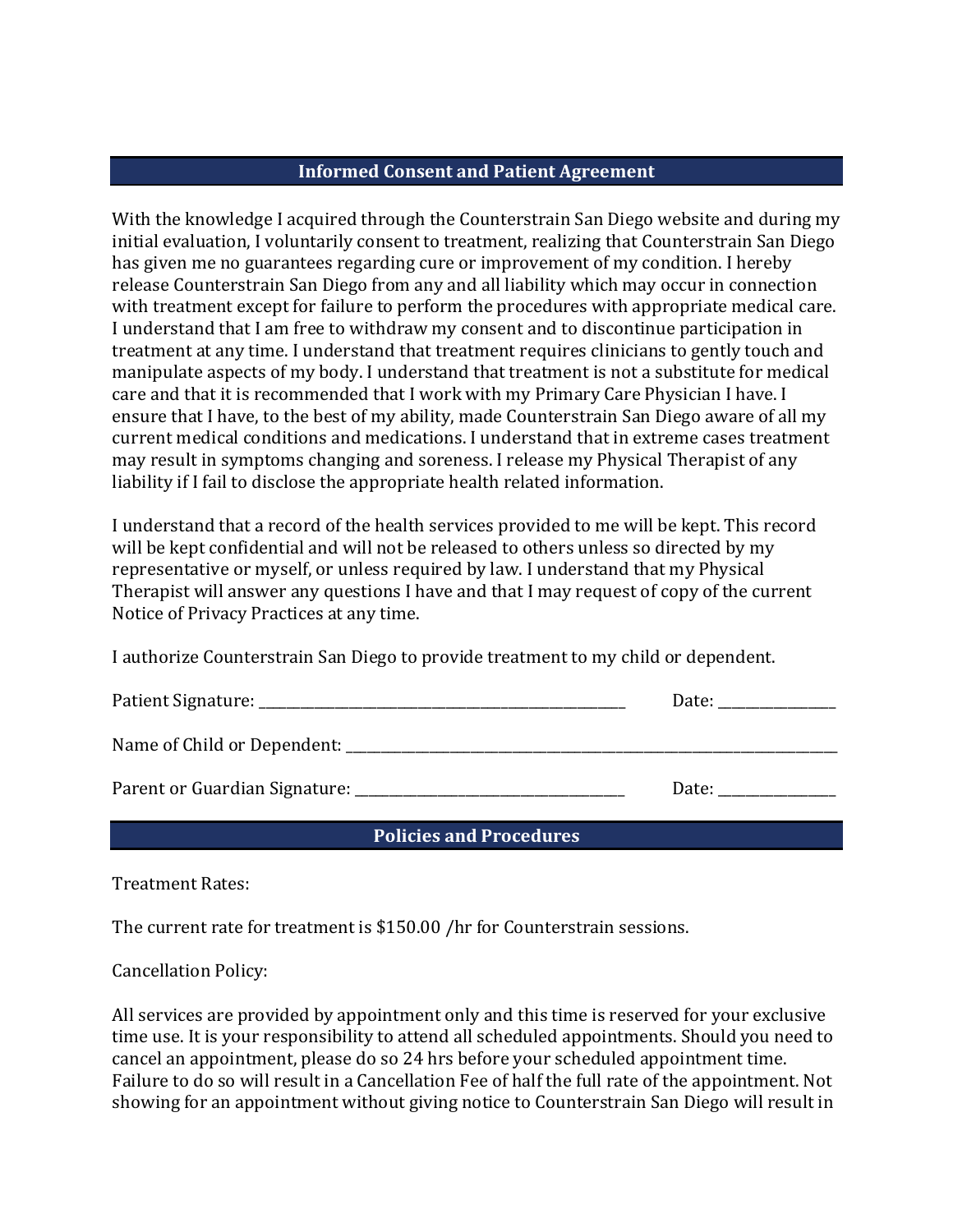## **Informed Consent and Patient Agreement**

With the knowledge I acquired through the Counterstrain San Diego website and during my initial evaluation, I voluntarily consent to treatment, realizing that Counterstrain San Diego has given me no guarantees regarding cure or improvement of my condition. I hereby release Counterstrain San Diego from any and all liability which may occur in connection with treatment except for failure to perform the procedures with appropriate medical care. I understand that I am free to withdraw my consent and to discontinue participation in treatment at any time. I understand that treatment requires clinicians to gently touch and manipulate aspects of my body. I understand that treatment is not a substitute for medical care and that it is recommended that I work with my Primary Care Physician I have. I ensure that I have, to the best of my ability, made Counterstrain San Diego aware of all my current medical conditions and medications. I understand that in extreme cases treatment may result in symptoms changing and soreness. I release my Physical Therapist of any liability if I fail to disclose the appropriate health related information.

I understand that a record of the health services provided to me will be kept. This record will be kept confidential and will not be released to others unless so directed by my representative or myself, or unless required by law. I understand that my Physical Therapist will answer any questions I have and that I may request of copy of the current Notice of Privacy Practices at any time.

I authorize Counterstrain San Diego to provide treatment to my child or dependent.

| Patient Signature: | лаге |
|--------------------|------|
|--------------------|------|

Name of Child or Dependent: \_\_\_\_\_\_\_\_\_\_\_\_\_\_\_\_\_\_\_\_\_\_\_\_\_\_\_\_\_\_\_\_\_\_\_\_\_\_\_\_\_\_\_\_\_\_\_\_\_\_\_\_\_\_\_\_\_\_\_\_\_\_\_\_\_\_\_\_\_\_\_

Parent or Guardian Signature: **Notifying the Second Parent Contract Contract Contract Contract Contract Contract Contract Contract Contract Contract Contract Contract Contract Contract Contract Contract Contract Contract C** 

**Policies and Procedures** 

Treatment Rates: 

The current rate for treatment is \$150.00 /hr for Counterstrain sessions.

Cancellation Policy: 

All services are provided by appointment only and this time is reserved for your exclusive time use. It is your responsibility to attend all scheduled appointments. Should you need to cancel an appointment, please do so 24 hrs before your scheduled appointment time. Failure to do so will result in a Cancellation Fee of half the full rate of the appointment. Not showing for an appointment without giving notice to Counterstrain San Diego will result in